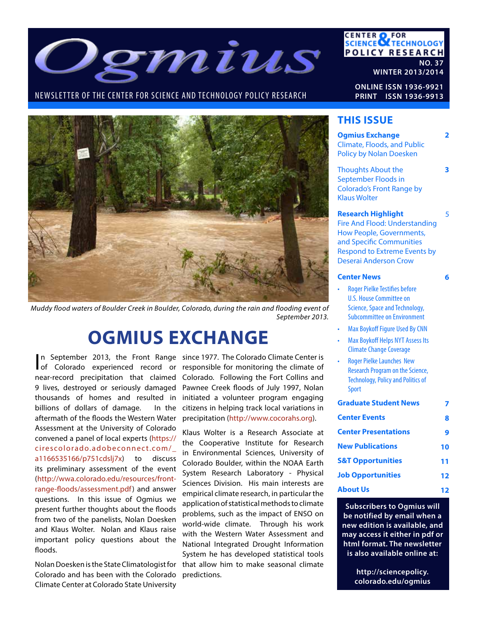

## NEWSLETTER OF THE CENTER FOR SCIENCE AND TECHNOLOGY POLICY RESEARCH



*Muddy flood waters of Boulder Creek in Boulder, Colorado, during the rain and flooding event of September 2013.*

# **OGMIUS EXCHANGE**

billions of dollars of damage. In the aftermath of the floods the Western Water Assessment at the University of Colorado convened a panel of local experts (https:// cirescolorado.adobeconnect.com/\_ a1166535166/p751cdslj7x) to discuss its preliminary assessment of the event (http://wwa.colorado.edu/resources/frontrange-floods/assessment.pdf) and answer questions. In this issue of Ogmius we present further thoughts about the floods from two of the panelists, Nolan Doesken and Klaus Wolter. Nolan and Klaus raise important policy questions about the floods.

Nolan Doesken is the State Climatologist for Colorado and has been with the Colorado Climate Center at Colorado State University

n September 2013, the Front Range since 1977. The Colorado Climate Center is In September 2013, the Front Range since 1977. The Colorado Climate Center is of Colorado experienced record or responsible for monitoring the climate of near-record precipitation that claimed Colorado. Following the Fort Collins and 9 lives, destroyed or seriously damaged Pawnee Creek floods of July 1997, Nolan thousands of homes and resulted in initiated a volunteer program engaging citizens in helping track local variations in precipitation (http://www.cocorahs.org).

> Klaus Wolter is a Research Associate at the Cooperative Institute for Research in Environmental Sciences, University of Colorado Boulder, within the NOAA Earth System Research Laboratory - Physical Sciences Division. His main interests are empirical climate research, in particular the application of statistical methods to climate problems, such as the impact of ENSO on world-wide climate. Through his work with the Western Water Assessment and National Integrated Drought Information System he has developed statistical tools that allow him to make seasonal climate predictions.

**CENTER OF FOR<br>SCIENCE ATECHNOLOGY POLICY RESEARCH NO. 37**

**WINTER 2013/2014**

**ONLINE ISSN 1936-9921 PRINT ISSN 1936-9913**

## **THIS ISSUE**

| <b>Ogmius Exchange</b><br><b>Climate, Floods, and Public</b><br><b>Policy by Nolan Doesken</b>                                                                                                                                                                                                                                                                                                                   | 2  |
|------------------------------------------------------------------------------------------------------------------------------------------------------------------------------------------------------------------------------------------------------------------------------------------------------------------------------------------------------------------------------------------------------------------|----|
| <b>Thoughts About the</b><br>September Floods in<br><b>Colorado's Front Range by</b><br><b>Klaus Wolter</b>                                                                                                                                                                                                                                                                                                      | 3  |
| <b>Research Highlight</b><br><b>Fire And Flood: Understanding</b><br>How People, Governments,<br>and Specific Communities<br><b>Respond to Extreme Events by</b><br><b>Deserai Anderson Crow</b>                                                                                                                                                                                                                 | 5  |
| <b>Center News</b>                                                                                                                                                                                                                                                                                                                                                                                               | 6  |
| <b>Roger Pielke Testifies before</b><br><b>U.S. House Committee on</b><br><b>Science, Space and Technology,</b><br><b>Subcommittee on Environment</b><br><b>Max Boykoff Figure Used By CNN</b><br><b>Max Boykoff Helps NYT Assess Its</b><br><b>Climate Change Coverage</b><br><b>Roger Pielke Launches New</b><br><b>Research Program on the Science,</b><br><b>Technology, Policy and Politics of</b><br>Sport |    |
| <b>Graduate Student News</b>                                                                                                                                                                                                                                                                                                                                                                                     | 7  |
| <b>Center Events</b>                                                                                                                                                                                                                                                                                                                                                                                             | 8  |
| <b>Center Presentations</b>                                                                                                                                                                                                                                                                                                                                                                                      | 9  |
| <b>New Publications</b>                                                                                                                                                                                                                                                                                                                                                                                          | 10 |
| <b>S&amp;T Opportunities</b>                                                                                                                                                                                                                                                                                                                                                                                     | 11 |
| <b>Job Opportunities</b>                                                                                                                                                                                                                                                                                                                                                                                         | 12 |
| <b>About Us</b>                                                                                                                                                                                                                                                                                                                                                                                                  | 12 |

**Subscribers to Ogmius will be notified by email when a new edition is available, and may access it either in pdf or html format. The newsletter is also available online at:**

> **http://sciencepolicy. colorado.edu/ogmius**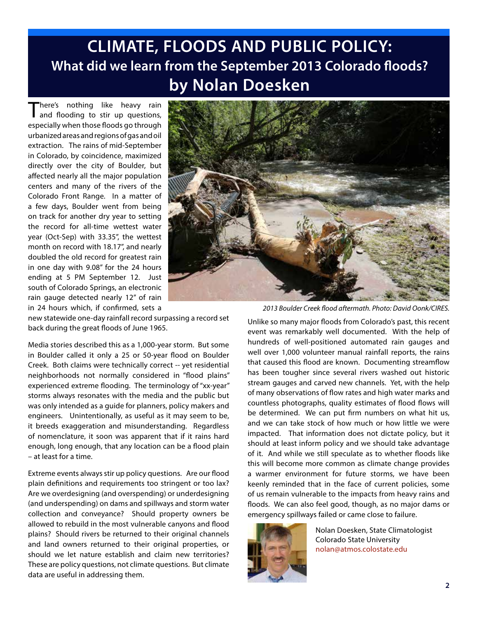# **CLIMATE, FLOODS AND PUBLIC POLICY: What did we learn from the September 2013 Colorado floods? by Nolan Doesken**

There's nothing like heavy rain<br>
and flooding to stir up questions, especially when those floods go through urbanized areas and regions of gas and oil extraction. The rains of mid-September in Colorado, by coincidence, maximized directly over the city of Boulder, but affected nearly all the major population centers and many of the rivers of the Colorado Front Range. In a matter of a few days, Boulder went from being on track for another dry year to setting the record for all-time wettest water year (Oct-Sep) with 33.35", the wettest month on record with 18.17", and nearly doubled the old record for greatest rain in one day with 9.08" for the 24 hours ending at 5 PM September 12. Just south of Colorado Springs, an electronic rain gauge detected nearly 12" of rain in 24 hours which, if confirmed, sets a

new statewide one-day rainfall record surpassing a record set back during the great floods of June 1965.

Media stories described this as a 1,000-year storm. But some in Boulder called it only a 25 or 50-year flood on Boulder Creek. Both claims were technically correct -- yet residential neighborhoods not normally considered in "flood plains" experienced extreme flooding. The terminology of "xx-year" storms always resonates with the media and the public but was only intended as a guide for planners, policy makers and engineers. Unintentionally, as useful as it may seem to be, it breeds exaggeration and misunderstanding. Regardless of nomenclature, it soon was apparent that if it rains hard enough, long enough, that any location can be a flood plain – at least for a time.

Extreme events always stir up policy questions. Are our flood plain definitions and requirements too stringent or too lax? Are we overdesigning (and overspending) or underdesigning (and underspending) on dams and spillways and storm water collection and conveyance? Should property owners be allowed to rebuild in the most vulnerable canyons and flood plains? Should rivers be returned to their original channels and land owners returned to their original properties, or should we let nature establish and claim new territories? These are policy questions, not climate questions. But climate data are useful in addressing them.

*2013 Boulder Creek flood aftermath. Photo: David Oonk/CIRES.*

Unlike so many major floods from Colorado's past, this recent event was remarkably well documented. With the help of hundreds of well-positioned automated rain gauges and well over 1,000 volunteer manual rainfall reports, the rains that caused this flood are known. Documenting streamflow has been tougher since several rivers washed out historic stream gauges and carved new channels. Yet, with the help of many observations of flow rates and high water marks and countless photographs, quality estimates of flood flows will be determined. We can put firm numbers on what hit us, and we can take stock of how much or how little we were impacted. That information does not dictate policy, but it should at least inform policy and we should take advantage of it. And while we still speculate as to whether floods like this will become more common as climate change provides a warmer environment for future storms, we have been keenly reminded that in the face of current policies, some of us remain vulnerable to the impacts from heavy rains and floods. We can also feel good, though, as no major dams or emergency spillways failed or came close to failure.



Nolan Doesken, State Climatologist Colorado State University nolan@atmos.colostate.edu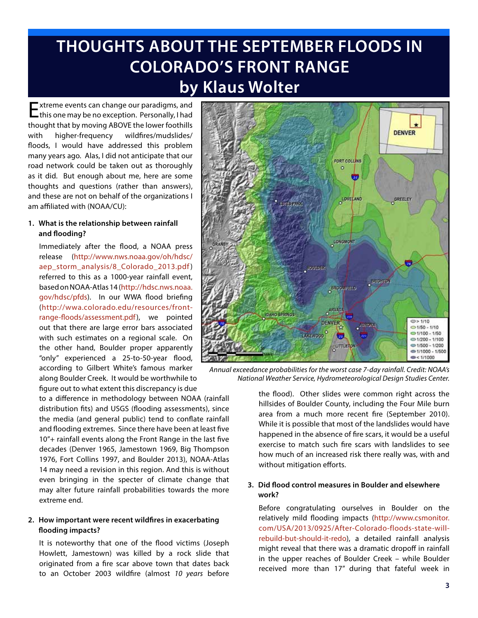# **THOUGHTS ABOUT THE SEPTEMBER FLOODS IN COLORADO'S FRONT RANGE by Klaus Wolter**

Extreme events can change our paradigms, and this one may be no exception. Personally, I had thought that by moving ABOVE the lower foothills with higher-frequency wildfires/mudslides/ floods, I would have addressed this problem many years ago. Alas, I did not anticipate that our road network could be taken out as thoroughly as it did. But enough about me, here are some thoughts and questions (rather than answers), and these are not on behalf of the organizations I am affiliated with (NOAA/CU):

## **1. What is the relationship between rainfall and flooding?**

Immediately after the flood, a NOAA press release (http://www.nws.noaa.gov/oh/hdsc/ aep\_storm\_analysis/8\_Colorado\_2013.pdf ) referred to this as a 1000-year rainfall event, based on NOAA-Atlas 14 (http://hdsc.nws.noaa. gov/hdsc/pfds). In our WWA flood briefing (http://wwa.colorado.edu/resources/frontrange-floods/assessment.pdf), we pointed out that there are large error bars associated with such estimates on a regional scale. On the other hand, Boulder proper apparently "only" experienced a 25-to-50-year flood, according to Gilbert White's famous marker along Boulder Creek. It would be worthwhile to figure out to what extent this discrepancy is due

to a difference in methodology between NOAA (rainfall distribution fits) and USGS (flooding assessments), since the media (and general public) tend to conflate rainfall and flooding extremes. Since there have been at least five 10"+ rainfall events along the Front Range in the last five decades (Denver 1965, Jamestown 1969, Big Thompson 1976, Fort Collins 1997, and Boulder 2013), NOAA-Atlas 14 may need a revision in this region. And this is without even bringing in the specter of climate change that may alter future rainfall probabilities towards the more extreme end.

## **2. How important were recent wildfires in exacerbating flooding impacts?**

It is noteworthy that one of the flood victims (Joseph Howlett, Jamestown) was killed by a rock slide that originated from a fire scar above town that dates back to an October 2003 wildfire (almost *10 years* before



*Annual exceedance probabilities for the worst case 7-day rainfall. Credit: NOAA's National Weather Service, Hydrometeorological Design Studies Center.* 

the flood). Other slides were common right across the hillsides of Boulder County, including the Four Mile burn area from a much more recent fire (September 2010). While it is possible that most of the landslides would have happened in the absence of fire scars, it would be a useful exercise to match such fire scars with landslides to see how much of an increased risk there really was, with and without mitigation efforts.

## **3. Did flood control measures in Boulder and elsewhere work?**

Before congratulating ourselves in Boulder on the relatively mild flooding impacts (http://www.csmonitor. com/USA/2013/0925/After-Colorado-floods-state-willrebuild-but-should-it-redo), a detailed rainfall analysis might reveal that there was a dramatic dropoff in rainfall in the upper reaches of Boulder Creek – while Boulder received more than 17" during that fateful week in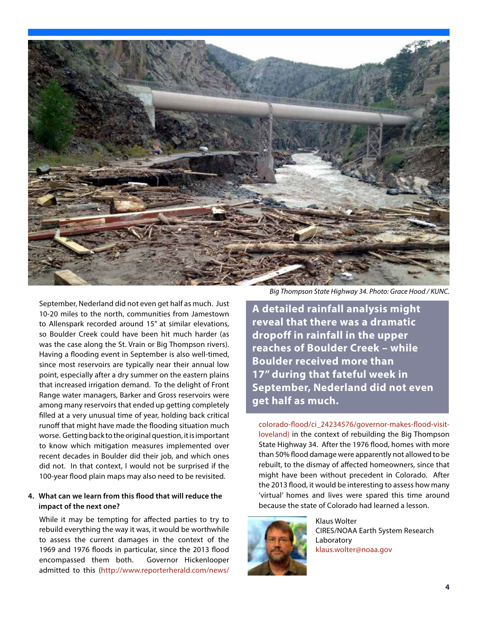

September, Nederland did not even get half as much. Just 10-20 miles to the north, communities from Jamestown to Allenspark recorded around 15" at similar elevations, so Boulder Creek could have been hit much harder (as was the case along the St. Vrain or Big Thompson rivers). Having a flooding event in September is also well-timed, since most reservoirs are typically near their annual low point, especially after a dry summer on the eastern plains that increased irrigation demand. To the delight of Front Range water managers, Barker and Gross reservoirs were among many reservoirs that ended up getting completely filled at a very unusual time of year, holding back critical runoff that might have made the flooding situation much worse. Getting back to the original question, it is important to know which mitigation measures implemented over recent decades in Boulder did their job, and which ones did not. In that context, I would not be surprised if the 100-year flood plain maps may also need to be revisited.

## **4. What can we learn from this flood that will reduce the impact of the next one?**

While it may be tempting for affected parties to try to rebuild everything the way it was, it would be worthwhile to assess the current damages in the context of the 1969 and 1976 floods in particular, since the 2013 flood encompassed them both. Governor Hickenlooper admitted to this (http://www.reporterherald.com/news/

*Big Thompson State Highway 34. Photo: Grace Hood / KUNC.*

**A detailed rainfall analysis might reveal that there was a dramatic dropoff in rainfall in the upper reaches of Boulder Creek – while Boulder received more than 17" during that fateful week in September, Nederland did not even get half as much.** 

colorado-flood/ci\_24234576/governor-makes-flood-visitloveland) in the context of rebuilding the Big Thompson State Highway 34. After the 1976 flood, homes with more than 50% flood damage were apparently not allowed to be rebuilt, to the dismay of affected homeowners, since that might have been without precedent in Colorado. After the 2013 flood, it would be interesting to assess how many 'virtual' homes and lives were spared this time around because the state of Colorado had learned a lesson.



Klaus Wolter CIRES/NOAA Earth System Research Laboratory klaus.wolter@noaa.gov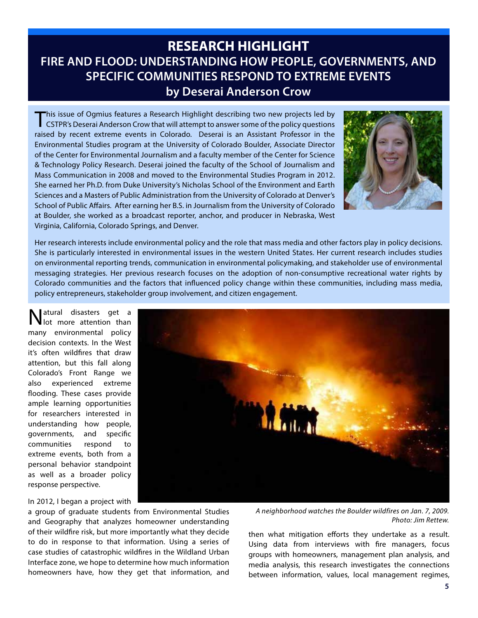# **RESEARCH HIGHLIGHT FIRE AND FLOOD: UNDERSTANDING HOW PEOPLE, GOVERNMENTS, AND SPECIFIC COMMUNITIES RESPOND TO EXTREME EVENTS by Deserai Anderson Crow**

This issue of Ogmius features a Research Highlight describing two new projects led by<br>CSTPR's Deserai Anderson Crow that will attempt to answer some of the policy questions raised by recent extreme events in Colorado. Deserai is an Assistant Professor in the Environmental Studies program at the University of Colorado Boulder, Associate Director of the Center for Environmental Journalism and a faculty member of the Center for Science & Technology Policy Research. Deserai joined the faculty of the School of Journalism and Mass Communication in 2008 and moved to the Environmental Studies Program in 2012. She earned her Ph.D. from Duke University's Nicholas School of the Environment and Earth Sciences and a Masters of Public Administration from the University of Colorado at Denver's School of Public Affairs. After earning her B.S. in Journalism from the University of Colorado at Boulder, she worked as a broadcast reporter, anchor, and producer in Nebraska, West Virginia, California, Colorado Springs, and Denver.



Her research interests include environmental policy and the role that mass media and other factors play in policy decisions. She is particularly interested in environmental issues in the western United States. Her current research includes studies on environmental reporting trends, communication in environmental policymaking, and stakeholder use of environmental messaging strategies. Her previous research focuses on the adoption of non-consumptive recreational water rights by Colorado communities and the factors that influenced policy change within these communities, including mass media, policy entrepreneurs, stakeholder group involvement, and citizen engagement.

Natural disasters get a lot more attention than many environmental policy decision contexts. In the West it's often wildfires that draw attention, but this fall along Colorado's Front Range we also experienced extreme flooding. These cases provide ample learning opportunities for researchers interested in understanding how people, governments, and specific communities respond to extreme events, both from a personal behavior standpoint as well as a broader policy response perspective.



In 2012, I began a project with

a group of graduate students from Environmental Studies and Geography that analyzes homeowner understanding of their wildfire risk, but more importantly what they decide to do in response to that information. Using a series of case studies of catastrophic wildfires in the Wildland Urban Interface zone, we hope to determine how much information homeowners have, how they get that information, and

*A neighborhood watches the Boulder wildfires on Jan. 7, 2009. Photo: Jim Rettew.*

then what mitigation efforts they undertake as a result. Using data from interviews with fire managers, focus groups with homeowners, management plan analysis, and media analysis, this research investigates the connections between information, values, local management regimes,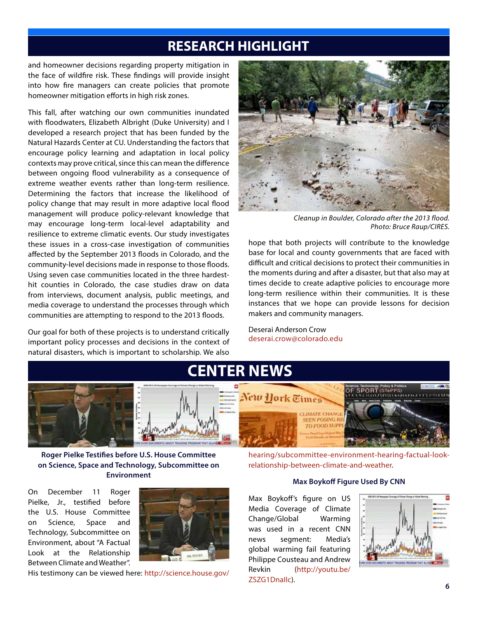# **RESEARCH HIGHLIGHT**

and homeowner decisions regarding property mitigation in the face of wildfire risk. These findings will provide insight into how fire managers can create policies that promote homeowner mitigation efforts in high risk zones.

This fall, after watching our own communities inundated with floodwaters, Elizabeth Albright (Duke University) and I developed a research project that has been funded by the Natural Hazards Center at CU. Understanding the factors that encourage policy learning and adaptation in local policy contexts may prove critical, since this can mean the difference between ongoing flood vulnerability as a consequence of extreme weather events rather than long-term resilience. Determining the factors that increase the likelihood of policy change that may result in more adaptive local flood management will produce policy-relevant knowledge that may encourage long-term local-level adaptability and resilience to extreme climatic events. Our study investigates these issues in a cross-case investigation of communities affected by the September 2013 floods in Colorado, and the community-level decisions made in response to those floods. Using seven case communities located in the three hardesthit counties in Colorado, the case studies draw on data from interviews, document analysis, public meetings, and media coverage to understand the processes through which communities are attempting to respond to the 2013 floods.

Our goal for both of these projects is to understand critically important policy processes and decisions in the context of natural disasters, which is important to scholarship. We also



*Cleanup in Boulder, Colorado after the 2013 flood. Photo: Bruce Raup/CIRES.*

hope that both projects will contribute to the knowledge base for local and county governments that are faced with difficult and critical decisions to protect their communities in the moments during and after a disaster, but that also may at times decide to create adaptive policies to encourage more long-term resilience within their communities. It is these instances that we hope can provide lessons for decision makers and community managers.

Deserai Anderson Crow deserai.crow@colorado.edu



**Roger Pielke Testifies before U.S. House Committee on Science, Space and Technology, Subcommittee on Environment**

On December 11 Roger Pielke, Jr., testified before the U.S. House Committee on Science, Space and Technology, Subcommittee on Environment, about "A Factual Look at the Relationship Between Climate and Weather".



His testimony can be viewed here: http://science.house.gov/

hearing/subcommittee-environment-hearing-factual-lookrelationship-between-climate-and-weather.

#### **Max Boykoff Figure Used By CNN**

Max Boykoff's figure on US Media Coverage of Climate Change/Global Warming was used in a recent CNN news segment: Media's global warming fail featuring Philippe Cousteau and Andrew Revkin (http://youtu.be/ ZSZG1DnaIIc).

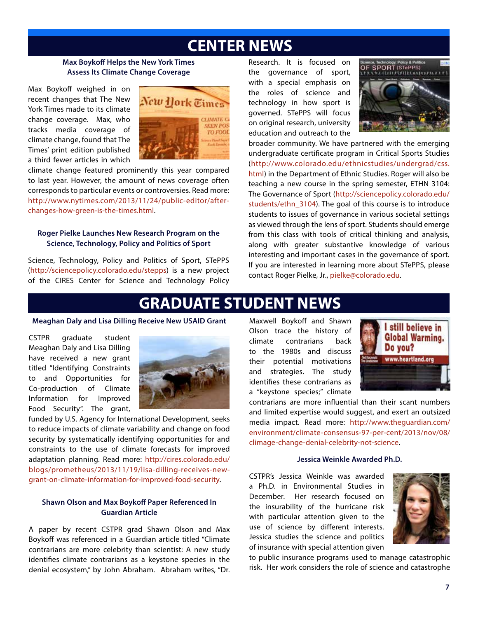# **CENTER NEWS**

#### **Max Boykoff Helps the New York Times Assess Its Climate Change Coverage**

Max Boykoff weighed in on recent changes that The New York Times made to its climate change coverage. Max, who tracks media coverage of climate change, found that The Times' print edition published a third fewer articles in which



climate change featured prominently this year compared to last year. However, the amount of news coverage often corresponds to particular events or controversies. Read more: http://www.nytimes.com/2013/11/24/public-editor/afterchanges-how-green-is-the-times.html.

## **Roger Pielke Launches New Research Program on the Science, Technology, Policy and Politics of Sport**

Science, Technology, Policy and Politics of Sport, STePPS (http://sciencepolicy.colorado.edu/stepps) is a new project of the CIRES Center for Science and Technology Policy

Research. It is focused on the governance of sport, with a special emphasis on the roles of science and technology in how sport is governed. STePPS will focus on original research, university education and outreach to the



broader community. We have partnered with the emerging undergraduate certificate program in Critical Sports Studies (http://www.colorado.edu/ethnicstudies/undergrad/css. html) in the Department of Ethnic Studies. Roger will also be teaching a new course in the spring semester, ETHN 3104: The Governance of Sport (http://sciencepolicy.colorado.edu/ students/ethn\_3104). The goal of this course is to introduce students to issues of governance in various societal settings as viewed through the lens of sport. Students should emerge from this class with tools of critical thinking and analysis, along with greater substantive knowledge of various interesting and important cases in the governance of sport. If you are interested in learning more about STePPS, please contact Roger Pielke, Jr., pielke@colorado.edu.

# **GRADUATE STUDENT NEWS**

#### **Meaghan Daly and Lisa Dilling Receive New USAID Grant**

CSTPR graduate student Meaghan Daly and Lisa Dilling have received a new grant titled "Identifying Constraints to and Opportunities for Co-production of Climate Information for Improved Food Security". The grant,



funded by U.S. Agency for International Development, seeks to reduce impacts of climate variability and change on food security by systematically identifying opportunities for and constraints to the use of climate forecasts for improved adaptation planning. Read more: http://cires.colorado.edu/ blogs/prometheus/2013/11/19/lisa-dilling-receives-newgrant-on-climate-information-for-improved-food-security.

## **Shawn Olson and Max Boykoff Paper Referenced In Guardian Article**

A paper by recent CSTPR grad Shawn Olson and Max Boykoff was referenced in a Guardian article titled "Climate contrarians are more celebrity than scientist: A new study identifies climate contrarians as a keystone species in the denial ecosystem," by John Abraham. Abraham writes, "Dr.

Maxwell Boykoff and Shawn Olson trace the history of climate contrarians back to the 1980s and discuss their potential motivations and strategies. The study identifies these contrarians as a "keystone species;" climate



contrarians are more influential than their scant numbers and limited expertise would suggest, and exert an outsized media impact. Read more: http://www.theguardian.com/ environment/climate-consensus-97-per-cent/2013/nov/08/ climage-change-denial-celebrity-not-science.

#### **Jessica Weinkle Awarded Ph.D.**

CSTPR's Jessica Weinkle was awarded a Ph.D. in Environmental Studies in December. Her research focused on the insurability of the hurricane risk with particular attention given to the use of science by different interests. Jessica studies the science and politics of insurance with special attention given



to public insurance programs used to manage catastrophic risk. Her work considers the role of science and catastrophe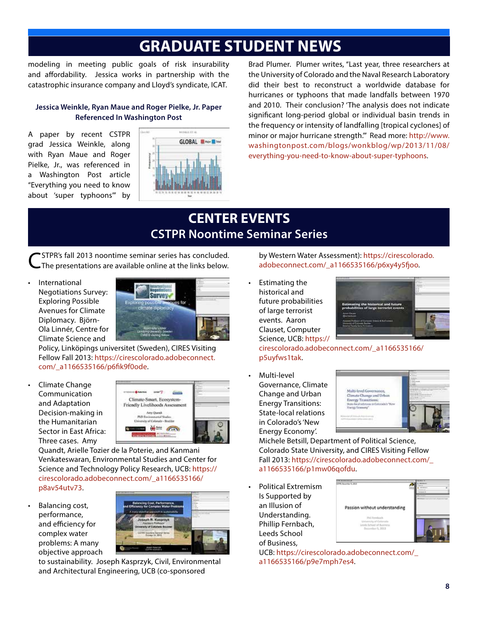# **GRADUATE STUDENT NEWS**

modeling in meeting public goals of risk insurability and affordability. Jessica works in partnership with the catastrophic insurance company and Lloyd's syndicate, ICAT.

## **Jessica Weinkle, Ryan Maue and Roger Pielke, Jr. Paper Referenced In Washington Post**

A paper by recent CSTPR grad Jessica Weinkle, along with Ryan Maue and Roger Pielke, Jr., was referenced in a Washington Post article "Everything you need to know about 'super typhoons'" by



Brad Plumer. Plumer writes, "Last year, three researchers at the University of Colorado and the Naval Research Laboratory did their best to reconstruct a worldwide database for hurricanes or typhoons that made landfalls between 1970 and 2010. Their conclusion? 'The analysis does not indicate significant long-period global or individual basin trends in the frequency or intensity of landfalling [tropical cyclones] of minor or major hurricane strength.'" Read more: http://www. washingtonpost.com/blogs/wonkblog/wp/2013/11/08/ everything-you-need-to-know-about-super-typhoons.

# **CENTER EVENTS CSTPR Noontime Seminar Series**

CSTPR's fall 2013 noontime seminar series has concluded. The presentations are available online at the links below.

**International** Negotiations Survey: Exploring Possible Avenues for Climate Diplomacy. Björn-Ola Linnér, Centre for Climate Science and



Policy, Linköpings universitet (Sweden), CIRES Visiting Fellow Fall 2013: https://cirescolorado.adobeconnect. com/\_a1166535166/p6fik9f0ode.

Climate Change Communication and Adaptation Decision-making in the Humanitarian Sector in East Africa: Three cases. Amy



Quandt, Arielle Tozier de la Poterie, and Kanmani Venkateswaran, Environmental Studies and Center for Science and Technology Policy Research, UCB: https:// cirescolorado.adobeconnect.com/\_a1166535166/ p8av54utv73.

Balancing cost, performance, and efficiency for complex water problems: A many objective approach



to sustainability. Joseph Kasprzyk, Civil, Environmental and Architectural Engineering, UCB (co-sponsored

by Western Water Assessment): https://cirescolorado. adobeconnect.com/\_a1166535166/p6xy4y5fjoo.

**Estimating the** historical and future probabilities of large terrorist events. Aaron Clauset, Computer Science, UCB: https://



cirescolorado.adobeconnect.com/\_a1166535166/ p5uyfws1tak.

Multi-level Governance, Climate Change and Urban Energy Transitions: State-local relations in Colorado's 'New Energy Economy'.



Michele Betsill, Department of Political Science, Colorado State University, and CIRES Visiting Fellow Fall 2013: https://cirescolorado.adobeconnect.com/\_ a1166535166/p1mw06qofdu.

Political Extremism Is Supported by an Illusion of Understanding. Phillip Fernbach, Leeds School of Business,



UCB: https://cirescolorado.adobeconnect.com/\_ a1166535166/p9e7mph7es4.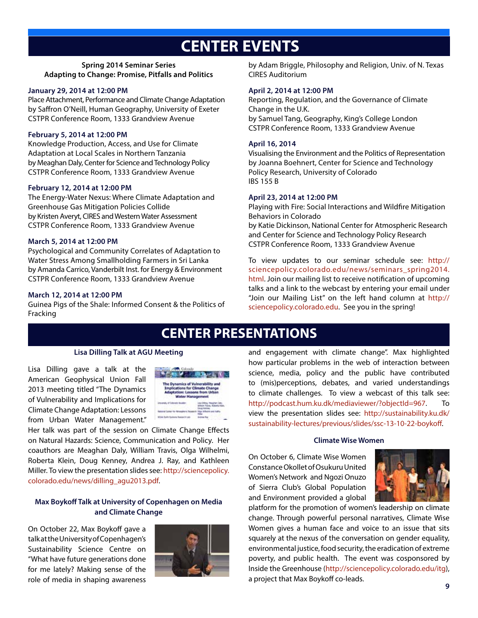# **CENTER EVENTS**

### **Spring 2014 Seminar Series Adapting to Change: Promise, Pitfalls and Politics**

#### **January 29, 2014 at 12:00 PM**

Place Attachment, Performance and Climate Change Adaptation by Saffron O'Neill, Human Geography, University of Exeter CSTPR Conference Room, 1333 Grandview Avenue

#### **February 5, 2014 at 12:00 PM**

Knowledge Production, Access, and Use for Climate Adaptation at Local Scales in Northern Tanzania by Meaghan Daly, Center for Science and Technology Policy CSTPR Conference Room, 1333 Grandview Avenue

#### **February 12, 2014 at 12:00 PM**

The Energy-Water Nexus: Where Climate Adaptation and Greenhouse Gas Mitigation Policies Collide by Kristen Averyt, CIRES and Western Water Assessment CSTPR Conference Room, 1333 Grandview Avenue

## **March 5, 2014 at 12:00 PM**

Psychological and Community Correlates of Adaptation to Water Stress Among Smallholding Farmers in Sri Lanka by Amanda Carrico, Vanderbilt Inst. for Energy & Environment CSTPR Conference Room, 1333 Grandview Avenue

#### **March 12, 2014 at 12:00 PM**

Guinea Pigs of the Shale: Informed Consent & the Politics of Fracking

by Adam Briggle, Philosophy and Religion, Univ. of N. Texas CIRES Auditorium

#### **April 2, 2014 at 12:00 PM**

Reporting, Regulation, and the Governance of Climate Change in the U.K. by Samuel Tang, Geography, King's College London CSTPR Conference Room, 1333 Grandview Avenue

#### **April 16, 2014**

Visualising the Environment and the Politics of Representation by Joanna Boehnert, Center for Science and Technology Policy Research, University of Colorado IBS 155 B

#### **April 23, 2014 at 12:00 PM**

Playing with Fire: Social Interactions and Wildfire Mitigation Behaviors in Colorado by Katie Dickinson, National Center for Atmospheric Research and Center for Science and Technology Policy Research CSTPR Conference Room, 1333 Grandview Avenue

To view updates to our seminar schedule see: http:// sciencepolicy.colorado.edu/news/seminars\_spring2014. html. Join our mailing list to receive notification of upcoming talks and a link to the webcast by entering your email under "Join our Mailing List" on the left hand column at http:// sciencepolicy.colorado.edu. See you in the spring!

# **CENTER PRESENTATIONS**

#### **Lisa Dilling Talk at AGU Meeting**

Lisa Dilling gave a talk at the American Geophysical Union Fall 2013 meeting titled "The Dynamics of Vulnerability and Implications for Climate Change Adaptation: Lessons from Urban Water Management."



Her talk was part of the session on Climate Change Effects on Natural Hazards: Science, Communication and Policy. Her coauthors are Meaghan Daly, William Travis, Olga Wilhelmi, Roberta Klein, Doug Kenney, Andrea J. Ray, and Kathleen Miller. To view the presentation slides see: http://sciencepolicy. colorado.edu/news/dilling\_agu2013.pdf.

### **Max Boykoff Talk at University of Copenhagen on Media and Climate Change**

On October 22, Max Boykoff gave a talk at the University of Copenhagen's Sustainability Science Centre on "What have future generations done for me lately? Making sense of the role of media in shaping awareness



and engagement with climate change". Max highlighted how particular problems in the web of interaction between science, media, policy and the public have contributed to (mis)perceptions, debates, and varied understandings to climate challenges. To view a webcast of this talk see: http://podcast.hum.ku.dk/mediaviewer/?objectId=967. To view the presentation slides see: http://sustainability.ku.dk/ sustainability-lectures/previous/slides/ssc-13-10-22-boykoff.

#### **Climate Wise Women**

On October 6, Climate Wise Women Constance Okollet of Osukuru United Women's Network and Ngozi Onuzo of Sierra Club's Global Population and Environment provided a global



platform for the promotion of women's leadership on climate change. Through powerful personal narratives, Climate Wise Women gives a human face and voice to an issue that sits squarely at the nexus of the conversation on gender equality, environmental justice, food security, the eradication of extreme poverty, and public health. The event was cosponsored by Inside the Greenhouse (http://sciencepolicy.colorado.edu/itg), a project that Max Boykoff co-leads.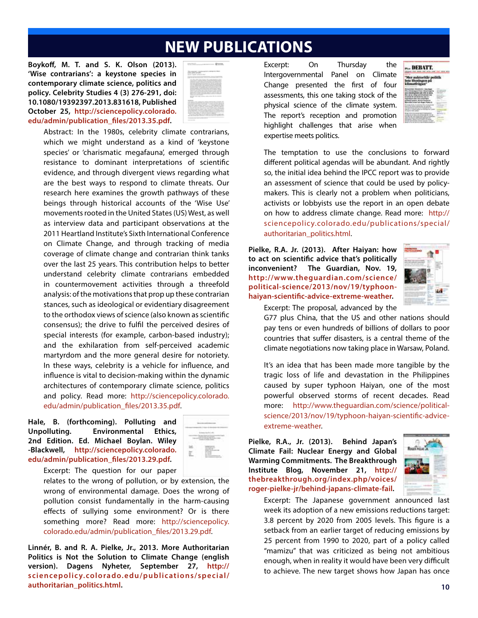# **NEW PUBLICATIONS**

**Boykoff, M. T. and S. K. Olson (2013). 'Wise contrarians': a keystone species in contemporary climate science, politics and policy. Celebrity Studies 4 (3) 276-291, doi: 10.1080/19392397.2013.831618, Published October 25, http://sciencepolicy.colorado. edu/admin/publication\_files/2013.35.pdf.**

| content dealer state.<br>and the first party of                                                                                                                                                                                                                                                                                                                                                                                                                                                                                                                                                                                                                                                                                                                                                                                                                                   |
|-----------------------------------------------------------------------------------------------------------------------------------------------------------------------------------------------------------------------------------------------------------------------------------------------------------------------------------------------------------------------------------------------------------------------------------------------------------------------------------------------------------------------------------------------------------------------------------------------------------------------------------------------------------------------------------------------------------------------------------------------------------------------------------------------------------------------------------------------------------------------------------|
|                                                                                                                                                                                                                                                                                                                                                                                                                                                                                                                                                                                                                                                                                                                                                                                                                                                                                   |
| ------<br>to a close that a set it                                                                                                                                                                                                                                                                                                                                                                                                                                                                                                                                                                                                                                                                                                                                                                                                                                                |
| at their fact series at a<br>an an Incidental<br>--<br>$-$<br>٠<br>the first product of<br>when all some is some to them<br><b>START</b><br>-                                                                                                                                                                                                                                                                                                                                                                                                                                                                                                                                                                                                                                                                                                                                     |
| a de sense a litto segliencias veglios querto del  Challen III.<br>with all the automotive state and the transit of the class and<br>proved and at the region the Location. The highest colors of countries of<br>have the vight-series with three cash, paint in color-<br>strike to advance a subscribe that distance indicates and the<br>in the lot but as city in a -1 post-top class with a first<br>the second market for themes the college daily is married to expect the<br>a bar barantag dan dan salaman makan makan panah panah panah panah<br>is the blue that is the opposite for the part of the constraints at<br>to since you wake priving or three of the two<br>dealers and any reference confidence data by residence.<br>to an an order from its or each in collecting count and<br>and what there are the reference in this disclosure who concludes the a |
|                                                                                                                                                                                                                                                                                                                                                                                                                                                                                                                                                                                                                                                                                                                                                                                                                                                                                   |
| <b>CONTRACTOR</b>                                                                                                                                                                                                                                                                                                                                                                                                                                                                                                                                                                                                                                                                                                                                                                                                                                                                 |

Abstract: In the 1980s, celebrity climate contrarians, which we might understand as a kind of 'keystone species' or 'charismatic megafauna', emerged through resistance to dominant interpretations of scientific evidence, and through divergent views regarding what are the best ways to respond to climate threats. Our research here examines the growth pathways of these beings through historical accounts of the 'Wise Use' movements rooted in the United States (US) West, as well as interview data and participant observations at the 2011 Heartland Institute's Sixth International Conference on Climate Change, and through tracking of media coverage of climate change and contrarian think tanks over the last 25 years. This contribution helps to better understand celebrity climate contrarians embedded in countermovement activities through a threefold analysis: of the motivations that prop up these contrarian stances, such as ideological or evidentiary disagreement to the orthodox views of science (also known as scientific consensus); the drive to fulfil the perceived desires of special interests (for example, carbon-based industry); and the exhilaration from self-perceived academic martyrdom and the more general desire for notoriety. In these ways, celebrity is a vehicle for influence, and influence is vital to decision-making within the dynamic architectures of contemporary climate science, politics and policy. Read more: http://sciencepolicy.colorado. edu/admin/publication\_files/2013.35.pdf.

### **Hale, B. (forthcoming). Polluting and Unpolluting. Environmental Ethics, 2nd Edition. Ed. Michael Boylan. Wiley -Blackwell, http://sciencepolicy.colorado. edu/admin/publication\_files/2013.29.pdf.**



Excerpt: The question for our paper

relates to the wrong of pollution, or by extension, the wrong of environmental damage. Does the wrong of pollution consist fundamentally in the harm-causing effects of sullying some environment? Or is there something more? Read more: http://sciencepolicy. colorado.edu/admin/publication\_files/2013.29.pdf.

**Linnér, B. and R. A. Pielke, Jr., 2013. More Authoritarian Politics is Not the Solution to Climate Change (english version). Dagens Nyheter, September 27, http:// sciencepolicy.colorado.edu/publications/special/ authoritarian\_politics.html. 10**

Excerpt: On Thursday the Intergovernmental Panel on Climate Change presented the first of four assessments, this one taking stock of the physical science of the climate system. The report's reception and promotion highlight challenges that arise when expertise meets politics.

|                                           | DEBATT. |  |  |  |  |
|-------------------------------------------|---------|--|--|--|--|
| r auktoritär politik<br>inte lösningen på |         |  |  |  |  |
|                                           |         |  |  |  |  |
|                                           |         |  |  |  |  |
|                                           |         |  |  |  |  |

The temptation to use the conclusions to forward different political agendas will be abundant. And rightly so, the initial idea behind the IPCC report was to provide an assessment of science that could be used by policymakers. This is clearly not a problem when politicians, activists or lobbyists use the report in an open debate on how to address climate change. Read more: http:// sciencepolicy.colorado.edu/publications/special/ authoritarian\_politics.html.

**Pielke, R.A. Jr. (2013). After Haiyan: how to act on scientific advice that's politically inconvenient? The Guardian, Nov. 19, http://www.theguardian.com/science/ political-science/2013/nov/19/typhoonhaiyan-scientific-advice-extreme-weather.**



Excerpt: The proposal, advanced by the

G77 plus China, that the US and other nations should pay tens or even hundreds of billions of dollars to poor countries that suffer disasters, is a central theme of the climate negotiations now taking place in Warsaw, Poland.

It's an idea that has been made more tangible by the tragic loss of life and devastation in the Philippines caused by super typhoon Haiyan, one of the most powerful observed storms of recent decades. Read more: http://www.theguardian.com/science/politicalscience/2013/nov/19/typhoon-haiyan-scientific-adviceextreme-weather.

**Pielke, R.A., Jr. (2013). Behind Japan's Climate Fail: Nuclear Energy and Global Warming Commitments. The Breakthrough Institute Blog, November 21, http:// thebreakthrough.org/index.php/voices/ roger-pielke-jr/behind-japans-climate-fail.**



Excerpt: The Japanese government announced last week its adoption of a new emissions reductions target: 3.8 percent by 2020 from 2005 levels. This figure is a setback from an earlier target of reducing emissions by 25 percent from 1990 to 2020, part of a policy called "mamizu" that was criticized as being not ambitious enough, when in reality it would have been very difficult to achieve. The new target shows how Japan has once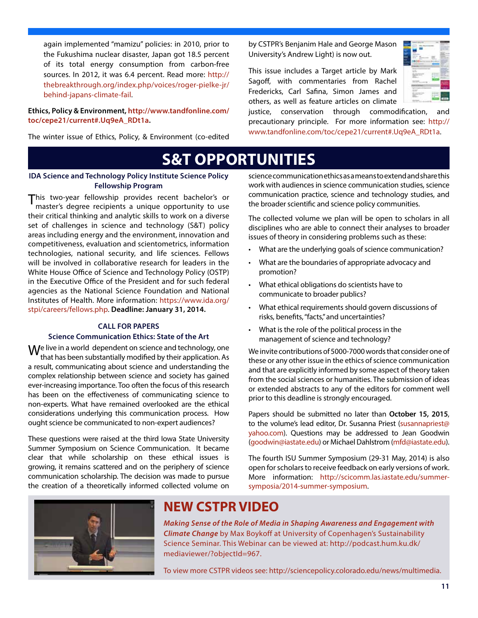again implemented "mamizu" policies: in 2010, prior to the Fukushima nuclear disaster, Japan got 18.5 percent of its total energy consumption from carbon-free sources. In 2012, it was 6.4 percent. Read more: http:// thebreakthrough.org/index.php/voices/roger-pielke-jr/ behind-japans-climate-fail.

#### **Ethics, Policy & Environment, http://www.tandfonline.com/ toc/cepe21/current#.Uq9eA\_RDt1a.**

The winter issue of Ethics, Policy, & Environment (co-edited

by CSTPR's Benjanim Hale and George Mason University's Andrew Light) is now out.

This issue includes a Target article by Mark Sagoff, with commentaries from Rachel Fredericks, Carl Safina, Simon James and others, as well as feature articles on climate



justice, conservation through commodification, and precautionary principle. For more information see: http:// www.tandfonline.com/toc/cepe21/current#.Uq9eA\_RDt1a.

# **S&T OPPORTUNITIES**

## **IDA Science and Technology Policy Institute Science Policy Fellowship Program**

This two-year fellowship provides recent bachelor's or master's degree recipients a unique opportunity to use their critical thinking and analytic skills to work on a diverse set of challenges in science and technology (S&T) policy areas including energy and the environment, innovation and competitiveness, evaluation and scientometrics, information technologies, national security, and life sciences. Fellows will be involved in collaborative research for leaders in the White House Office of Science and Technology Policy (OSTP) in the Executive Office of the President and for such federal agencies as the National Science Foundation and National Institutes of Health. More information: https://www.ida.org/ stpi/careers/fellows.php. **Deadline: January 31, 2014.**

### **CALL FOR PAPERS**

## **Science Communication Ethics: State of the Art**

Me live in a world dependent on science and technology, one that has been substantially modified by their application. As a result, communicating about science and understanding the complex relationship between science and society has gained ever-increasing importance. Too often the focus of this research has been on the effectiveness of communicating science to non-experts. What have remained overlooked are the ethical considerations underlying this communication process. How ought science be communicated to non-expert audiences?

These questions were raised at the third Iowa State University Summer Symposium on Science Communication. It became clear that while scholarship on these ethical issues is growing, it remains scattered and on the periphery of science communication scholarship. The decision was made to pursue the creation of a theoretically informed collected volume on

science communication ethics as a means to extend and share this work with audiences in science communication studies, science communication practice, science and technology studies, and the broader scientific and science policy communities.

The collected volume we plan will be open to scholars in all disciplines who are able to connect their analyses to broader issues of theory in considering problems such as these:

- What are the underlying goals of science communication?
- • What are the boundaries of appropriate advocacy and promotion?
- What ethical obligations do scientists have to communicate to broader publics?
- What ethical requirements should govern discussions of risks, benefits, "facts," and uncertainties?
- What is the role of the political process in the management of science and technology?

We invite contributions of 5000-7000 words that consider one of these or any other issue in the ethics of science communication and that are explicitly informed by some aspect of theory taken from the social sciences or humanities. The submission of ideas or extended abstracts to any of the editors for comment well prior to this deadline is strongly encouraged.

Papers should be submitted no later than **October 15, 2015**, to the volume's lead editor, Dr. Susanna Priest (susannapriest@ yahoo.com). Questions may be addressed to Jean Goodwin (goodwin@iastate.edu) or Michael Dahlstrom (mfd@iastate.edu).

The fourth ISU Summer Symposium (29-31 May, 2014) is also open for scholars to receive feedback on early versions of work. More information: http://scicomm.las.iastate.edu/summersymposia/2014-summer-symposium.



# **NEW CSTPR VIDEO**

*Making Sense of the Role of Media in Shaping Awareness and Engagement with Climate Change* by Max Boykoff at University of Copenhagen's Sustainability Science Seminar. This Webinar can be viewed at: http://podcast.hum.ku.dk/ mediaviewer/?objectId=967.

To view more CSTPR videos see: http://sciencepolicy.colorado.edu/news/multimedia.